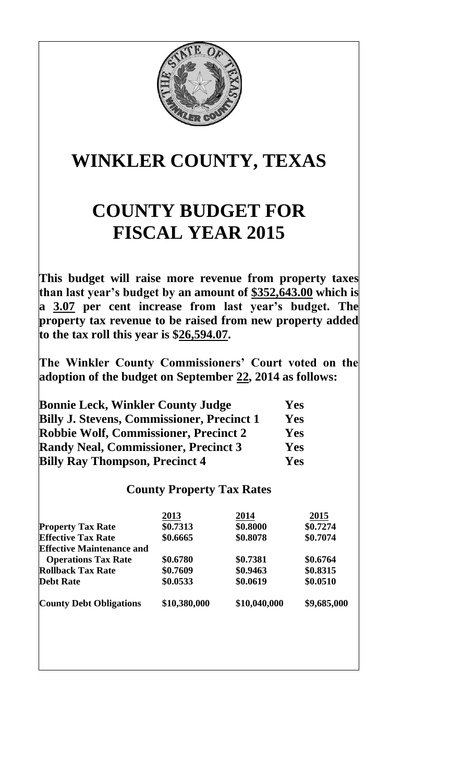

## **WINKLER COUNTY, TEXAS**

## **COUNTY BUDGET FOR FISCAL YEAR 2015**

**This budget will raise more revenue from property taxes than last year's budget by an amount of \$352,643.00 which is a 3.07 per cent increase from last year's budget. The property tax revenue to be raised from new property added to the tax roll this year is \$26,594.07.**

**The Winkler County Commissioners' Court voted on the adoption of the budget on September 22, 2014 as follows:**

| <b>Bonnie Leck, Winkler County Judge</b>          | <b>Yes</b> |
|---------------------------------------------------|------------|
| <b>Billy J. Stevens, Commissioner, Precinct 1</b> | Yes        |
| <b>Robbie Wolf, Commissioner, Precinct 2</b>      | <b>Yes</b> |
| <b>Randy Neal, Commissioner, Precinct 3</b>       | Yes        |
| <b>Billy Ray Thompson, Precinct 4</b>             | Yes        |

## **County Property Tax Rates**

|                                  | 2013         | 2014         | 2015        |
|----------------------------------|--------------|--------------|-------------|
| <b>Property Tax Rate</b>         | \$0.7313     | \$0.8000     | \$0.7274    |
| <b>Effective Tax Rate</b>        | \$0.6665     | \$0.8078     | \$0.7074    |
| <b>Effective Maintenance and</b> |              |              |             |
| <b>Operations Tax Rate</b>       | \$0.6780     | \$0.7381     | \$0.6764    |
| <b>Rollback Tax Rate</b>         | \$0.7609     | \$0.9463     | \$0.8315    |
| <b>Debt Rate</b>                 | \$0.0533     | \$0.0619     | \$0.0510    |
| <b>County Debt Obligations</b>   | \$10,380,000 | \$10,040,000 | \$9,685,000 |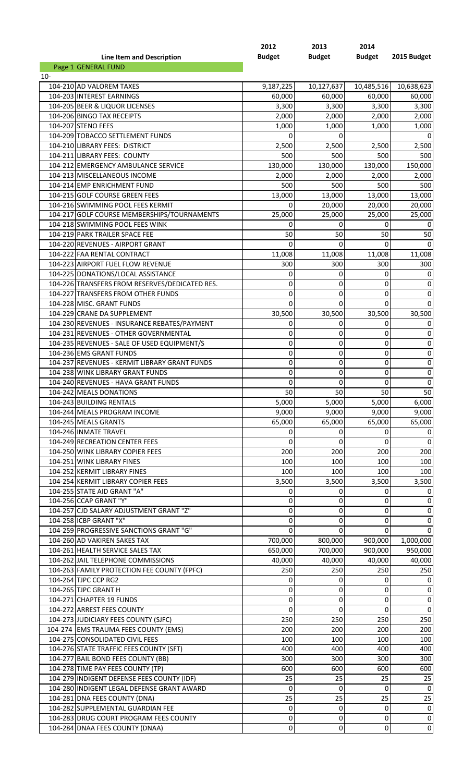|                           | 2012          | 2013          | 2014          |             |
|---------------------------|---------------|---------------|---------------|-------------|
| Line Item and Description | <b>Budget</b> | <b>Budget</b> | <b>Budget</b> | 2015 Budget |
| Page 1 GENERAL FUND       |               |               |               |             |
| $10-$                     |               |               |               |             |

| 104-210 AD VALOREM TAXES                       | 9,187,225   | 10,127,637  | 10,485,516       | 10,638,623       |
|------------------------------------------------|-------------|-------------|------------------|------------------|
| 104-203 INTEREST EARNINGS                      | 60,000      | 60,000      | 60,000           | 60,000           |
| 104-205 BEER & LIQUOR LICENSES                 | 3,300       | 3,300       | 3,300            | 3,300            |
| 104-206 BINGO TAX RECEIPTS                     | 2,000       | 2,000       | 2,000            | 2,000            |
| 104-207 STENO FEES                             | 1,000       | 1,000       | 1,000            | 1,000            |
| 104-209 TOBACCO SETTLEMENT FUNDS               | 0           | 0           |                  | 0                |
| 104-210 LIBRARY FEES: DISTRICT                 | 2,500       | 2,500       | 2,500            | 2,500            |
| 104-211 LIBRARY FEES: COUNTY                   | 500         | 500         | 500              | 500              |
| 104-212 EMERGENCY AMBULANCE SERVICE            | 130,000     | 130,000     | 130,000          | 150,000          |
| 104-213 MISCELLANEOUS INCOME                   | 2,000       | 2,000       | 2,000            | 2,000            |
| 104-214 EMP ENRICHMENT FUND                    | 500         | 500         | 500              | 500              |
| 104-215 GOLF COURSE GREEN FEES                 | 13,000      | 13,000      | 13,000           | 13,000           |
| 104-216 SWIMMING POOL FEES KERMIT              | $\Omega$    | 20,000      | 20,000           | 20,000           |
| 104-217 GOLF COURSE MEMBERSHIPS/TOURNAMENTS    | 25,000      | 25,000      | 25,000           | 25,000           |
| 104-218 SWIMMING POOL FEES WINK                | $\Omega$    | 0           | $\Omega$         | 0                |
| 104-219 PARK TRAILER SPACE FEE                 | 50          | 50          | 50               | 50               |
| 104-220 REVENUES - AIRPORT GRANT               | $\Omega$    | 0           | 0                | 0                |
| 104-222 FAA RENTAL CONTRACT                    | 11,008      | 11,008      | 11,008           | 11,008           |
| 104-223 AIRPORT FUEL FLOW REVENUE              | 300         | 300         | 300              | 300              |
| 104-225 DONATIONS/LOCAL ASSISTANCE             | 0           | 0           | 0                | 0                |
| 104-226 TRANSFERS FROM RESERVES/DEDICATED RES. | 0           | 0           | 0                | $\boldsymbol{0}$ |
| 104-227 TRANSFERS FROM OTHER FUNDS             | $\Omega$    | $\mathbf 0$ | $\mathbf 0$      | $\pmb{0}$        |
| 104-228 MISC. GRANT FUNDS                      | $\Omega$    | 0           | $\Omega$         | 0                |
| 104-229 CRANE DA SUPPLEMENT                    | 30,500      | 30,500      | 30,500           | 30,500           |
| 104-230 REVENUES - INSURANCE REBATES/PAYMENT   | 0           | 0           | 0                | 0                |
| 104-231 REVENUES - OTHER GOVERNMENTAL          | 0           | 0           | 0                | $\boldsymbol{0}$ |
| 104-235 REVENUES - SALE OF USED EQUIPMENT/S    | 0           | 0           | 0                | $\boldsymbol{0}$ |
| 104-236 EMS GRANT FUNDS                        | 0           | $\mathbf 0$ | $\boldsymbol{0}$ | $\pmb{0}$        |
| 104-237 REVENUES - KERMIT LIBRARY GRANT FUNDS  | 0           | 0           | 0                | $\boldsymbol{0}$ |
| 104-238 WINK LIBRARY GRANT FUNDS               | 0           | $\mathbf 0$ | 0                | $\pmb{0}$        |
| 104-240 REVENUES - HAVA GRANT FUNDS            | 0           | $\mathbf 0$ | $\Omega$         | $\mathbf 0$      |
| 104-242 MEALS DONATIONS                        | 50          | 50          | 50               | 50               |
| 104-243 BUILDING RENTALS                       | 5,000       | 5,000       | 5,000            | 6,000            |
| 104-244 MEALS PROGRAM INCOME                   | 9,000       | 9,000       | 9,000            | 9,000            |
| 104-245 MEALS GRANTS                           | 65,000      | 65,000      | 65,000           | 65,000           |
| 104-246 INMATE TRAVEL                          | 0           | 0           | 0                | 0                |
| 104-249 RECREATION CENTER FEES                 | 0           | 0           | 0                | $\boldsymbol{0}$ |
| 104-250 WINK LIBRARY COPIER FEES               | 200         | 200         | 200              | 200              |
| 104-251 WINK LIBRARY FINES                     | 100         | 100         | 100              | 100              |
| 104-252 KERMIT LIBRARY FINES                   | 100         | 100         | 100              | 100              |
| 104-254 KERMIT LIBRARY COPIER FEES             | 3,500       | 3,500       | 3,500            | 3,500            |
| 104-255 STATE AID GRANT "A"                    | 0           | 0           | 0                | 0                |
| 104-256 CCAP GRANT "Y"                         | 0           | 0           | 0                | $\boldsymbol{0}$ |
| 104-257 CJD SALARY ADJUSTMENT GRANT "Z"        | 0           | 0           | 0                | $\boldsymbol{0}$ |
| 104-258 ICBP GRANT "X"                         | 0           | 0           | 0                | $\boldsymbol{0}$ |
| 104-259 PROGRESSIVE SANCTIONS GRANT "G"        | 0           | 0           | 0                | $\mathbf 0$      |
| 104-260 AD VAKIREN SAKES TAX                   | 700,000     | 800,000     | 900,000          | 1,000,000        |
| 104-261 HEALTH SERVICE SALES TAX               | 650,000     | 700,000     | 900,000          | 950,000          |
| 104-262 JAIL TELEPHONE COMMISSIONS             | 40,000      | 40,000      | 40,000           | 40,000           |
| 104-263 FAMILY PROTECTION FEE COUNTY (FPFC)    | 250         | 250         | 250              | 250              |
| 104-264 TJPC CCP RG2                           | 0           | 0           | 0                | $\boldsymbol{0}$ |
| 104-265 TJPC GRANT H                           | 0           | 0           | 0                | $\boldsymbol{0}$ |
| 104-271 CHAPTER 19 FUNDS                       | 0           | 0           | 0                | $\boldsymbol{0}$ |
| 104-272 ARREST FEES COUNTY                     | 0           | 0           | 0                | $\boldsymbol{0}$ |
| 104-273 JUDICIARY FEES COUNTY (SJFC)           | 250         | 250         | 250              | 250              |
| 104-274 EMS TRAUMA FEES COUNTY (EMS)           | 200         | 200         | 200              | 200              |
| 104-275 CONSOLIDATED CIVIL FEES                | 100         | 100         | 100              | 100              |
| 104-276 STATE TRAFFIC FEES COUNTY (SFT)        | 400         | 400         | 400              | 400              |
| 104-277 BAIL BOND FEES COUNTY (BB)             | 300         | 300         | 300              | 300              |
| 104-278 TIME PAY FEES COUNTY (TP)              | 600         | 600         | 600              | 600              |
| 104-279 INDIGENT DEFENSE FEES COUNTY (IDF)     | 25          | 25          | 25               | 25               |
| 104-280 INDIGENT LEGAL DEFENSE GRANT AWARD     | 0           | 0           | $\mathbf 0$      | $\mathbf 0$      |
| 104-281 DNA FEES COUNTY (DNA)                  | 25          | 25          | 25               | 25               |
| 104-282 SUPPLEMENTAL GUARDIAN FEE              | $\mathbf 0$ | 0           | 0                | 0                |
| 104-283 DRUG COURT PROGRAM FEES COUNTY         | 0           | 0           | 0                | 0                |
| 104-284 DNAA FEES COUNTY (DNAA)                | 0           | 0           | 0                | $\mathbf 0$      |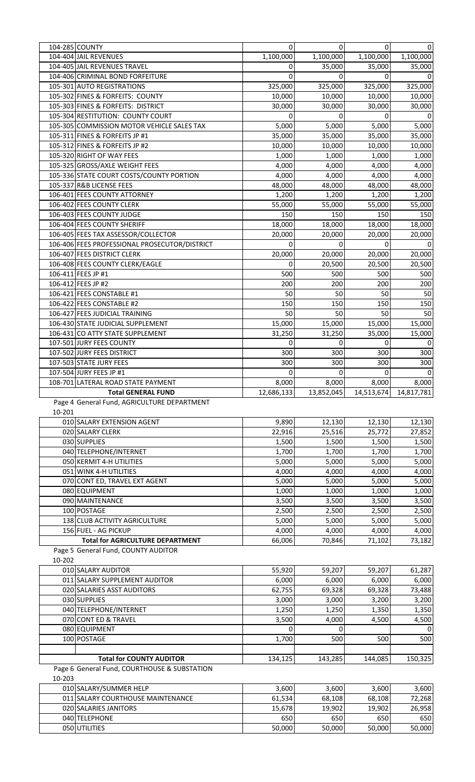|        | 104-285 COUNTY                                | 0             | $\overline{0}$ | ΟI                    | 0             |
|--------|-----------------------------------------------|---------------|----------------|-----------------------|---------------|
|        | 104-404 JAIL REVENUES                         | 1,100,000     | 1,100,000      | 1,100,000             | 1,100,000     |
|        | 104-405 JAIL REVENUES TRAVEL                  | 0             | 35,000         | 35,000                | 35,000        |
|        | 104-406 CRIMINAL BOND FORFEITURE              | $\mathbf 0$   | 0              | 0                     |               |
|        | 105-301 AUTO REGISTRATIONS                    | 325,000       | 325,000        | 325,000               | 325,000       |
|        | 105-302 FINES & FORFEITS: COUNTY              | 10,000        | 10,000         | 10,000                | 10,000        |
|        | 105-303 FINES & FORFEITS: DISTRICT            | 30,000        | 30,000         | 30,000                | 30,000        |
|        | 105-304 RESTITUTION: COUNTY COURT             | $\Omega$      | $\Omega$       | 0                     |               |
|        | 105-305 COMMISSION MOTOR VEHICLE SALES TAX    | 5,000         | 5,000          | 5,000                 | 5,000         |
|        | 105-311 FINES & FORFEITS JP #1                | 35,000        | 35,000         | 35,000                | 35,000        |
|        | 105-312 FINES & FORFEITS JP #2                | 10,000        | 10,000         | 10,000                | 10,000        |
|        | 105-320 RIGHT OF WAY FEES                     | 1,000         | 1,000          | 1,000                 | 1,000         |
|        | 105-325 GROSS/AXLE WEIGHT FEES                | 4,000         | 4,000          | 4,000                 | 4,000         |
|        | 105-336 STATE COURT COSTS/COUNTY PORTION      | 4,000         | 4,000          | 4,000                 | 4,000         |
|        | 105-337 R&B LICENSE FEES                      | 48,000        | 48,000         | 48,000                | 48,000        |
|        | 106-401 FEES COUNTY ATTORNEY                  | 1,200         | 1,200          | 1,200                 | 1,200         |
|        | 106-402 FEES COUNTY CLERK                     | 55,000        | 55,000         | 55,000                | 55,000        |
|        | 106-403 FEES COUNTY JUDGE                     | 150           | 150            | 150                   | 150           |
|        | 106-404 FEES COUNTY SHERIFF                   | 18,000        | 18,000         | 18,000                | 18,000        |
|        | 106-405 FEES TAX ASSESSOR/COLLECTOR           | 20,000        | 20,000         | 20,000                | 20,000        |
|        | 106-406 FEES PROFESSIONAL PROSECUTOR/DISTRICT | 0             | 0              | 0                     |               |
|        | 106-407 FEES DISTRICT CLERK                   | 20,000        | 20,000         | 20,000                | 20,000        |
|        | 106-408 FEES COUNTY CLERK/EAGLE               | 0             | 20,500         | 20,500                | 20,500        |
|        | 106-411 FEES JP #1                            | 500           | 500            | 500                   | 500           |
|        | 106-412 FEES JP #2                            | 200           | 200            | 200                   | 200           |
|        | 106-421 FEES CONSTABLE #1                     | 50            | 50             | 50                    | 50            |
|        | 106-422 FEES CONSTABLE #2                     | 150           | 150            | 150                   | 150           |
|        | 106-427 FEES JUDICIAL TRAINING                | 50            | 50             | 50                    | 50            |
|        |                                               | 15,000        |                |                       |               |
|        | 106-430 STATE JUDICIAL SUPPLEMENT             |               | 15,000         | 15,000                | 15,000        |
|        | 106-431 CO ATTY STATE SUPPLEMENT              | 31,250        | 31,250         | 35,000                | 15,000        |
|        | 107-501 JURY FEES COUNTY                      | 0             | 0              | 0                     | 0             |
|        | 107-502 JURY FEES DISTRICT                    | 300           | 300            | 300                   | 300           |
|        | 107-503 STATE JURY FEES                       | 300           | 300            | 300                   | 300           |
|        | 107-504 JURY FEES JP #1                       | $\Omega$      | 0              | 0                     |               |
|        | 108-701 LATERAL ROAD STATE PAYMENT            | 8,000         | 8,000          | 8,000                 | 8,000         |
|        |                                               |               |                |                       |               |
|        | <b>Total GENERAL FUND</b>                     | 12,686,133    | 13,852,045     | 14,513,674 14,817,781 |               |
|        | Page 4 General Fund, AGRICULTURE DEPARTMENT   |               |                |                       |               |
| 10-201 |                                               |               |                |                       |               |
|        | 010 SALARY EXTENSION AGENT                    | 9,890         | 12,130         | 12,130                | 12,130        |
|        | 020 SALARY CLERK                              | 22,916        | 25,516         | 25,772                | 27,852        |
|        | 030 SUPPLIES                                  | 1,500         | 1,500          | 1,500                 | 1,500         |
|        | 040 TELEPHONE/INTERNET                        | 1,700         | 1,700          | 1,700                 | 1,700         |
|        | 050 KERMIT 4-H UTILITIES                      | 5,000         | 5,000          | 5,000                 | 5,000         |
|        | 051 WINK 4-H UTILITIES                        | 4,000         | 4,000          | 4,000                 | 4,000         |
|        | 070 CONT ED, TRAVEL EXT AGENT                 | 5,000         | 5,000          | 5,000                 | 5,000         |
|        | 080 EQUIPMENT                                 | 1,000         | 1,000          | 1,000                 | 1,000         |
|        | 090 MAINTENANCE                               | 3,500         | 3,500          | 3,500                 | 3,500         |
|        | 100 POSTAGE                                   | 2,500         | 2,500          | 2,500                 | 2,500         |
|        | 138 CLUB ACTIVITY AGRICULTURE                 | 5,000         | 5,000          | 5,000                 | 5,000         |
|        | 156 FUEL - AG PICKUP                          | 4,000         | 4,000          | 4,000                 | 4,000         |
|        | <b>Total for AGRICULTURE DEPARTMENT</b>       | 66,006        | 70,846         | 71,102                | 73,182        |
|        | Page 5 General Fund, COUNTY AUDITOR           |               |                |                       |               |
| 10-202 |                                               |               |                |                       |               |
|        | 010 SALARY AUDITOR                            | 55,920        | 59,207         | 59,207                | 61,287        |
|        | 011 SALARY SUPPLEMENT AUDITOR                 | 6,000         | 6,000          | 6,000                 | 6,000         |
|        | 020 SALARIES ASST AUDITORS                    | 62,755        | 69,328         | 69,328                | 73,488        |
|        | 030 SUPPLIES                                  | 3,000         | 3,000          | 3,200                 | 3,200         |
|        | 040 TELEPHONE/INTERNET                        | 1,250         | 1,250          | 1,350                 | 1,350         |
|        | 070 CONT ED & TRAVEL                          | 3,500         | 4,000          | 4,500                 | 4,500         |
|        | 080 EQUIPMENT                                 | 0             | $\Omega$       |                       |               |
|        | 100 POSTAGE                                   | 1,700         | 500            | 500                   | 500           |
|        |                                               |               |                |                       |               |
|        | <b>Total for COUNTY AUDITOR</b>               | 134,125       | 143,285        | 144,085               | 150,325       |
|        | Page 6 General Fund, COURTHOUSE & SUBSTATION  |               |                |                       |               |
| 10-203 |                                               |               |                |                       |               |
|        | 010 SALARY/SUMMER HELP                        | 3,600         | 3,600          | 3,600                 | 3,600         |
|        | 011 SALARY COURTHOUSE MAINTENANCE             | 61,534        | 68,108         | 68,108                | 72,268        |
|        | 020 SALARIES JANITORS                         | 15,678        | 19,902         | 19,902                | 26,958        |
|        | 040 TELEPHONE<br>050 UTILITIES                | 650<br>50,000 | 650            | 650<br>50,000         | 650<br>50,000 |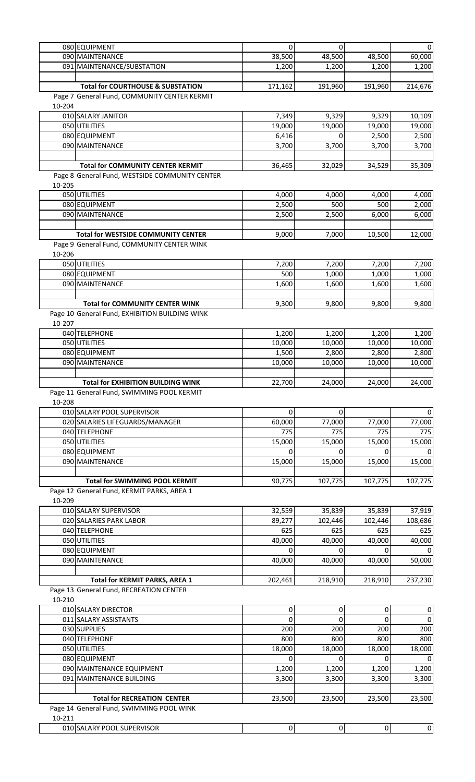|        | 080 EQUIPMENT                                  | $\pmb{0}$   | $\Omega$    |                | $\overline{0}$ |
|--------|------------------------------------------------|-------------|-------------|----------------|----------------|
|        | 090 MAINTENANCE                                | 38,500      | 48,500      | 48,500         | 60,000         |
|        | 091 MAINTENANCE/SUBSTATION                     | 1,200       | 1,200       | 1,200          | 1,200          |
|        |                                                |             |             |                |                |
|        | <b>Total for COURTHOUSE &amp; SUBSTATION</b>   | 171,162     | 191,960     | 191,960        | 214,676        |
|        | Page 7 General Fund, COMMUNITY CENTER KERMIT   |             |             |                |                |
| 10-204 |                                                |             |             |                |                |
|        | 010 SALARY JANITOR                             | 7,349       | 9,329       | 9,329          | 10,109         |
|        | 050 UTILITIES                                  | 19,000      | 19,000      | 19,000         | 19,000         |
|        | 080 EQUIPMENT                                  | 6,416       | 0           | 2,500          | 2,500          |
|        | 090 MAINTENANCE                                | 3,700       | 3,700       | 3,700          | 3,700          |
|        |                                                |             |             |                |                |
|        |                                                |             |             |                |                |
|        | <b>Total for COMMUNITY CENTER KERMIT</b>       | 36,465      | 32,029      | 34,529         | 35,309         |
|        | Page 8 General Fund, WESTSIDE COMMUNITY CENTER |             |             |                |                |
| 10-205 |                                                |             |             |                |                |
|        | 050 UTILITIES                                  | 4,000       | 4,000       | 4,000          | 4,000          |
|        | 080 EQUIPMENT                                  | 2,500       | 500         | 500            | 2,000          |
|        | 090 MAINTENANCE                                | 2,500       | 2,500       | 6,000          | 6,000          |
|        |                                                |             |             |                |                |
|        | <b>Total for WESTSIDE COMMUNITY CENTER</b>     | 9,000       | 7,000       | 10,500         | 12,000         |
|        | Page 9 General Fund, COMMUNITY CENTER WINK     |             |             |                |                |
| 10-206 |                                                |             |             |                |                |
|        | 050 UTILITIES                                  | 7,200       | 7,200       | 7,200          | 7,200          |
|        |                                                |             |             |                |                |
|        | 080 EQUIPMENT                                  | 500         | 1,000       | 1,000          | 1,000          |
|        | 090 MAINTENANCE                                | 1,600       | 1,600       | 1,600          | 1,600          |
|        |                                                |             |             |                |                |
|        | <b>Total for COMMUNITY CENTER WINK</b>         | 9,300       | 9,800       | 9,800          | 9,800          |
|        | Page 10 General Fund, EXHIBITION BUILDING WINK |             |             |                |                |
| 10-207 |                                                |             |             |                |                |
|        | 040 TELEPHONE                                  | 1,200       | 1,200       | 1,200          | 1,200          |
|        | 050 UTILITIES                                  | 10,000      | 10,000      | 10,000         | 10,000         |
|        | 080 EQUIPMENT                                  | 1,500       | 2,800       | 2,800          | 2,800          |
|        | 090 MAINTENANCE                                | 10,000      | 10,000      | 10,000         | 10,000         |
|        |                                                |             |             |                |                |
|        |                                                |             |             |                |                |
|        | <b>Total for EXHIBITION BUILDING WINK</b>      | 22,700      | 24,000      | 24,000         | 24,000         |
|        | Page 11 General Fund, SWIMMING POOL KERMIT     |             |             |                |                |
| 10-208 |                                                |             |             |                |                |
|        | 010 SALARY POOL SUPERVISOR                     | 0           | 0           |                | 0              |
|        | 020 SALARIES LIFEGUARDS/MANAGER                | 60,000      | 77,000      | 77,000         | 77,000         |
|        | 040 TELEPHONE                                  | 775         | 775         | 775            | 775            |
|        | 050 UTILITIES                                  | 15,000      | 15,000      | 15,000         | 15,000         |
|        | 080 EQUIPMENT                                  | O           |             |                |                |
|        | 090 MAINTENANCE                                | 15,000      | 15,000      | 15,000         | 15,000         |
|        |                                                |             |             |                |                |
|        |                                                |             |             |                |                |
|        | <b>Total for SWIMMING POOL KERMIT</b>          | 90,775      | 107,775     | 107,775        | 107,775        |
|        | Page 12 General Fund, KERMIT PARKS, AREA 1     |             |             |                |                |
| 10-209 |                                                |             |             |                |                |
|        | 010 SALARY SUPERVISOR                          | 32,559      | 35,839      | 35,839         | 37,919         |
|        | 020 SALARIES PARK LABOR                        | 89,277      | 102,446     | 102,446        | 108,686        |
|        | 040 TELEPHONE                                  | 625         | 625         | 625            | 625            |
|        | 050 UTILITIES                                  | 40,000      | 40,000      | 40,000         | 40,000         |
|        | 080 EQUIPMENT                                  | 0           | 0           | 0              |                |
|        | 090 MAINTENANCE                                | 40,000      | 40,000      | 40,000         | 50,000         |
|        |                                                |             |             |                |                |
|        |                                                |             |             |                |                |
|        | <b>Total for KERMIT PARKS, AREA 1</b>          | 202,461     | 218,910     | 218,910        | 237,230        |
|        | Page 13 General Fund, RECREATION CENTER        |             |             |                |                |
| 10-210 |                                                |             |             |                |                |
|        | 010 SALARY DIRECTOR                            | 0           | 0           | $\mathbf 0$    | $\mathbf 0$    |
|        | 011 SALARY ASSISTANTS                          | $\Omega$    | 0           | 0              | $\Omega$       |
|        | 030 SUPPLIES                                   | 200         | 200         | 200            | 200            |
|        | 040 TELEPHONE                                  | 800         | 800         | 800            | 800            |
|        | 050 UTILITIES                                  | 18,000      | 18,000      | 18,000         | 18,000         |
|        | 080 EQUIPMENT                                  | $\Omega$    | 0           | 0              |                |
|        | 090 MAINTENANCE EQUIPMENT                      | 1,200       | 1,200       | 1,200          | 1,200          |
|        | 091 MAINTENANCE BUILDING                       | 3,300       | 3,300       | 3,300          | 3,300          |
|        |                                                |             |             |                |                |
|        |                                                |             |             |                |                |
|        | <b>Total for RECREATION CENTER</b>             | 23,500      | 23,500      | 23,500         | 23,500         |
|        | Page 14 General Fund, SWIMMING POOL WINK       |             |             |                |                |
| 10-211 |                                                |             |             |                |                |
|        | 010 SALARY POOL SUPERVISOR                     | $\mathbf 0$ | $\mathbf 0$ | $\overline{0}$ | 0              |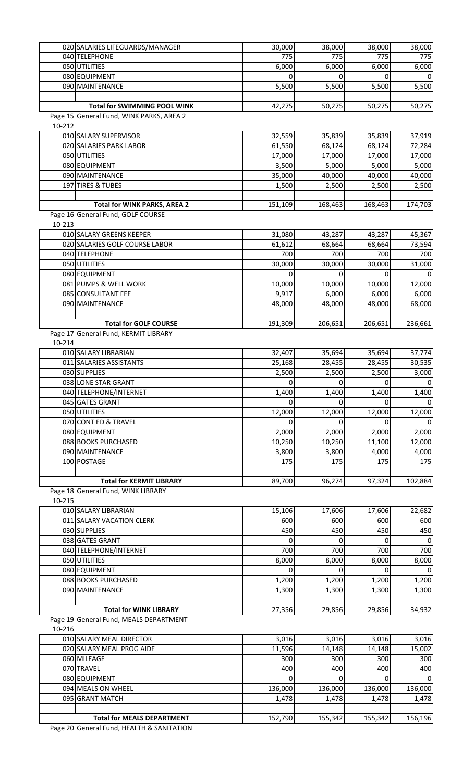|        | 020 SALARIES LIFEGUARDS/MANAGER          | 30,000   | 38,000   | 38,000   | 38,000   |
|--------|------------------------------------------|----------|----------|----------|----------|
|        | 040 TELEPHONE                            | 775      | 775      | 775      | 775      |
|        | 050 UTILITIES                            | 6,000    | 6,000    | 6,000    | 6,000    |
|        | 080 EQUIPMENT                            | $\Omega$ | $\Omega$ | 0        |          |
|        | 090 MAINTENANCE                          | 5,500    | 5,500    | 5,500    | 5,500    |
|        |                                          |          |          |          |          |
|        | <b>Total for SWIMMING POOL WINK</b>      | 42,275   | 50,275   | 50,275   | 50,275   |
|        | Page 15 General Fund, WINK PARKS, AREA 2 |          |          |          |          |
| 10-212 |                                          |          |          |          |          |
|        | 010 SALARY SUPERVISOR                    | 32,559   | 35,839   | 35,839   | 37,919   |
|        | 020 SALARIES PARK LABOR                  | 61,550   | 68,124   | 68,124   | 72,284   |
|        | 050 UTILITIES                            | 17,000   | 17,000   | 17,000   | 17,000   |
|        | 080 EQUIPMENT                            | 3,500    | 5,000    | 5,000    | 5,000    |
|        | 090 MAINTENANCE                          | 35,000   | 40,000   | 40,000   | 40,000   |
|        | 197 TIRES & TUBES                        | 1,500    | 2,500    | 2,500    | 2,500    |
|        |                                          |          |          |          |          |
|        | Total for WINK PARKS, AREA 2             | 151,109  | 168,463  | 168,463  | 174,703  |
|        | Page 16 General Fund, GOLF COURSE        |          |          |          |          |
| 10-213 |                                          |          |          |          |          |
|        | 010 SALARY GREENS KEEPER                 | 31,080   | 43,287   | 43,287   | 45,367   |
|        | 020 SALARIES GOLF COURSE LABOR           | 61,612   | 68,664   | 68,664   | 73,594   |
|        | 040 TELEPHONE                            | 700      | 700      | 700      | 700      |
|        | 050 UTILITIES                            | 30,000   | 30,000   | 30,000   | 31,000   |
|        | 080 EQUIPMENT                            | 0        | 0        | 0        |          |
|        | 081 PUMPS & WELL WORK                    | 10,000   | 10,000   | 10,000   | 12,000   |
|        | 085 CONSULTANT FEE                       | 9,917    | 6,000    | 6,000    | 6,000    |
|        | 090 MAINTENANCE                          | 48,000   | 48,000   | 48,000   | 68,000   |
|        |                                          |          |          |          |          |
|        | <b>Total for GOLF COURSE</b>             | 191,309  | 206,651  | 206,651  | 236,661  |
|        | Page 17 General Fund, KERMIT LIBRARY     |          |          |          |          |
| 10-214 |                                          |          |          |          |          |
|        | 010 SALARY LIBRARIAN                     | 32,407   | 35,694   | 35,694   |          |
|        | 011 SALARIES ASSISTANTS                  |          |          |          | 37,774   |
|        |                                          | 25,168   | 28,455   | 28,455   | 30,535   |
|        | 030 SUPPLIES                             | 2,500    | 2,500    | 2,500    | 3,000    |
|        | 038 LONE STAR GRANT                      | 0        | 0        | 0        | 0        |
|        | 040 TELEPHONE/INTERNET                   | 1,400    | 1,400    | 1,400    | 1,400    |
|        | 045 GATES GRANT                          | $\Omega$ | $\Omega$ | $\Omega$ |          |
|        | 050 UTILITIES                            | 12,000   | 12,000   | 12,000   | 12,000   |
|        | 070 CONT ED & TRAVEL                     | $\Omega$ | $\Omega$ | 0        |          |
|        | 080 EQUIPMENT                            | 2,000    | 2,000    | 2,000    | 2,000    |
|        | 088 BOOKS PURCHASED                      | 10,250   | 10,250   | 11,100   | 12,000   |
|        | 090 MAINTENANCE                          | 3,800    | 3,800    | 4,000    | 4,000    |
|        | 100 POSTAGE                              | 175      | 175      | 175      | 175      |
|        |                                          |          |          |          |          |
|        | <b>Total for KERMIT LIBRARY</b>          | 89,700   | 96,274   | 97,324   | 102,884  |
|        | Page 18 General Fund, WINK LIBRARY       |          |          |          |          |
| 10-215 |                                          |          |          |          |          |
|        | 010 SALARY LIBRARIAN                     | 15,106   | 17,606   | 17,606   | 22,682   |
|        | 011 SALARY VACATION CLERK                | 600      | 600      | 600      | 600      |
|        | 030 SUPPLIES                             | 450      | 450      | 450      | 450      |
|        | 038 GATES GRANT                          | 0        | 0        | 0        | 0        |
|        | 040 TELEPHONE/INTERNET                   | 700      | 700      | 700      | 700      |
|        | 050 UTILITIES                            | 8,000    | 8,000    | 8,000    | 8,000    |
|        | 080 EQUIPMENT                            | $\Omega$ | $\Omega$ | $\Omega$ | $\Omega$ |
|        | 088 BOOKS PURCHASED                      | 1,200    | 1,200    | 1,200    | 1,200    |
|        | 090 MAINTENANCE                          | 1,300    | 1,300    | 1,300    | 1,300    |
|        |                                          |          |          |          |          |
|        | <b>Total for WINK LIBRARY</b>            | 27,356   | 29,856   | 29,856   | 34,932   |
|        | Page 19 General Fund, MEALS DEPARTMENT   |          |          |          |          |
| 10-216 |                                          |          |          |          |          |
|        | 010 SALARY MEAL DIRECTOR                 | 3,016    | 3,016    | 3,016    | 3,016    |
|        | 020 SALARY MEAL PROG AIDE                | 11,596   | 14,148   | 14,148   | 15,002   |
|        | 060 MILEAGE                              | 300      | 300      | 300      | 300      |
|        | 070 TRAVEL                               | 400      | 400      | 400      | 400      |
|        | 080 EQUIPMENT                            | 0        | 0        | 0        |          |
|        | 094 MEALS ON WHEEL                       | 136,000  | 136,000  | 136,000  | 136,000  |
|        | 095 GRANT MATCH                          | 1,478    | 1,478    | 1,478    | 1,478    |
|        |                                          |          |          |          |          |
|        | <b>Total for MEALS DEPARTMENT</b>        | 152,790  | 155,342  | 155,342  | 156,196  |

Page 20 General Fund, HEALTH & SANITATION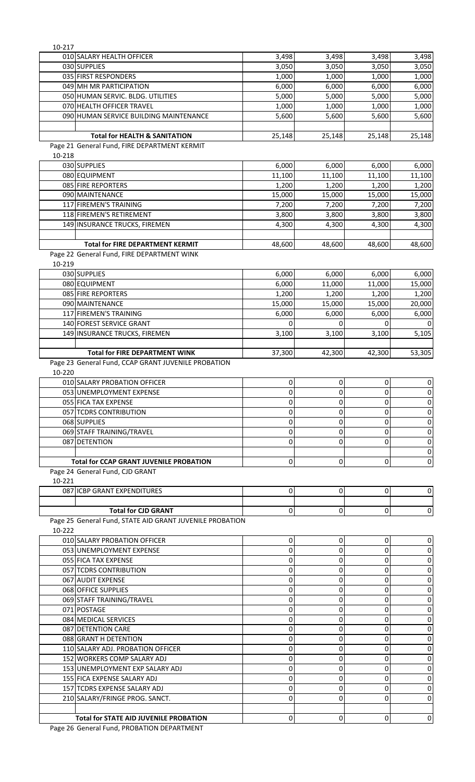| 10-217 |                                                              |                 |                 |                 |                 |
|--------|--------------------------------------------------------------|-----------------|-----------------|-----------------|-----------------|
|        | 010 SALARY HEALTH OFFICER                                    | 3,498           | 3,498           | 3,498           | 3,498           |
|        | 030 SUPPLIES                                                 | 3,050           | 3,050           | 3,050           | 3,050           |
|        | 035 FIRST RESPONDERS                                         | 1,000           | 1,000           | 1,000           | 1,000           |
|        | 049 MH MR PARTICIPATION<br>050 HUMAN SERVIC. BLDG. UTILITIES | 6,000<br>5,000  | 6,000<br>5,000  | 6,000<br>5,000  | 6,000<br>5,000  |
|        | 070 HEALTH OFFICER TRAVEL                                    | 1,000           | 1,000           | 1,000           | 1,000           |
|        | 090 HUMAN SERVICE BUILDING MAINTENANCE                       | 5,600           | 5,600           | 5,600           | 5,600           |
|        |                                                              |                 |                 |                 |                 |
|        | <b>Total for HEALTH &amp; SANITATION</b>                     | 25,148          | 25,148          | 25,148          | 25,148          |
|        | Page 21 General Fund, FIRE DEPARTMENT KERMIT                 |                 |                 |                 |                 |
| 10-218 |                                                              |                 |                 |                 |                 |
|        | 030 SUPPLIES                                                 | 6,000           | 6,000           | 6,000           | 6,000           |
|        | 080 EQUIPMENT                                                | 11,100          | 11,100          | 11,100          | 11,100          |
|        | 085 FIRE REPORTERS<br>090 MAINTENANCE                        | 1,200<br>15,000 | 1,200<br>15,000 | 1,200<br>15,000 | 1,200<br>15,000 |
|        | 117 FIREMEN'S TRAINING                                       | 7,200           | 7,200           | 7,200           | 7,200           |
|        | 118 FIREMEN'S RETIREMENT                                     | 3,800           | 3,800           | 3,800           | 3,800           |
|        | 149 INSURANCE TRUCKS, FIREMEN                                | 4,300           | 4,300           | 4,300           | 4,300           |
|        |                                                              |                 |                 |                 |                 |
|        | <b>Total for FIRE DEPARTMENT KERMIT</b>                      | 48,600          | 48,600          | 48,600          | 48,600          |
|        | Page 22 General Fund, FIRE DEPARTMENT WINK                   |                 |                 |                 |                 |
| 10-219 |                                                              |                 |                 |                 |                 |
|        | 030 SUPPLIES                                                 | 6,000           | 6,000           | 6,000           | 6,000           |
|        | 080 EQUIPMENT                                                | 6,000           | 11,000          | 11,000          | 15,000          |
|        | 085 FIRE REPORTERS<br>090 MAINTENANCE                        | 1,200<br>15,000 | 1,200<br>15,000 | 1,200<br>15,000 | 1,200<br>20,000 |
|        | 117 FIREMEN'S TRAINING                                       | 6,000           | 6,000           | 6,000           | 6,000           |
|        | 140 FOREST SERVICE GRANT                                     | $\Omega$        | O               | 0               |                 |
|        | 149 INSURANCE TRUCKS, FIREMEN                                | 3,100           | 3,100           | 3,100           | 5,105           |
|        |                                                              |                 |                 |                 |                 |
|        | <b>Total for FIRE DEPARTMENT WINK</b>                        | 37,300          | 42,300          | 42,300          | 53,305          |
|        | Page 23 General Fund, CCAP GRANT JUVENILE PROBATION          |                 |                 |                 |                 |
| 10-220 |                                                              |                 |                 |                 |                 |
|        | 010 SALARY PROBATION OFFICER                                 | $\pmb{0}$       | 0               | $\pmb{0}$       | $\overline{0}$  |
|        | 053 UNEMPLOYMENT EXPENSE                                     | 0               | 0               | $\overline{0}$  | 0               |
|        | 055 FICA TAX EXPENSE<br>057 TCDRS CONTRIBUTION               | 0<br>0          | 0<br>0          | 0<br>0          | 0<br>0          |
|        | 068 SUPPLIES                                                 | 0               | 0               | 0               | 0               |
|        | 069 STAFF TRAINING/TRAVEL                                    | 0               | 0               | 0               | 0               |
|        | 087 DETENTION                                                | 0               | 0               | 0               | 0               |
|        |                                                              |                 |                 |                 | 0               |
|        | <b>Total for CCAP GRANT JUVENILE PROBATION</b>               | 0               | 0               | 0               | $\overline{0}$  |
|        | Page 24 General Fund, CJD GRANT                              |                 |                 |                 |                 |
| 10-221 |                                                              |                 |                 |                 |                 |
|        | 087 ICBP GRANT EXPENDITURES                                  | 0               | 0               | $\overline{0}$  | 0               |
|        | <b>Total for CJD GRANT</b>                                   | 0               | 0               | 0               | 0               |
|        | Page 25 General Fund, STATE AID GRANT JUVENILE PROBATION     |                 |                 |                 |                 |
| 10-222 |                                                              |                 |                 |                 |                 |
|        | 010 SALARY PROBATION OFFICER                                 | 0               | 0               | 0               | 0               |
|        | 053 UNEMPLOYMENT EXPENSE                                     | 0               | 0               | 0               | 0               |
|        | 055 FICA TAX EXPENSE                                         | 0               | 0               | 0               | 0               |
|        | 057 TCDRS CONTRIBUTION                                       | 0               | 0               | 0               | 0               |
|        | 067 AUDIT EXPENSE                                            | 0               | 0               | 0               | 0               |
|        | 068 OFFICE SUPPLIES                                          | 0               | 0               | 0               | 0               |
|        | 069 STAFF TRAINING/TRAVEL<br>071 POSTAGE                     | 0               | 0               | 0               | 0               |
|        | 084 MEDICAL SERVICES                                         | 0<br>0          | 0<br>0          | 0<br>0          | 0<br>0          |
|        | 087 DETENTION CARE                                           | 0               | 0               | 0               | 0               |
|        | 088 GRANT H DETENTION                                        | 0               | 0               | 0               | 0               |
|        | 110 SALARY ADJ. PROBATION OFFICER                            | 0               | 0               | 0               | 0               |
|        | 152 WORKERS COMP SALARY ADJ                                  | 0               | 0               | 0               | 0               |
|        | 153 UNEMPLOYMENT EXP SALARY ADJ                              | 0               | 0               | 0               | 0               |
|        | 155 FICA EXPENSE SALARY ADJ                                  | 0               | 0               | 0               | 0               |
|        | 157 TCDRS EXPENSE SALARY ADJ                                 | 0               | 0               | 0               | 0               |
|        | 210 SALARY/FRINGE PROG. SANCT.                               | 0               | 0               | 0               | 0               |
|        |                                                              |                 |                 |                 |                 |
|        | <b>Total for STATE AID JUVENILE PROBATION</b>                | 0               | 0               | 0               | 0               |

Page 26 General Fund, PROBATION DEPARTMENT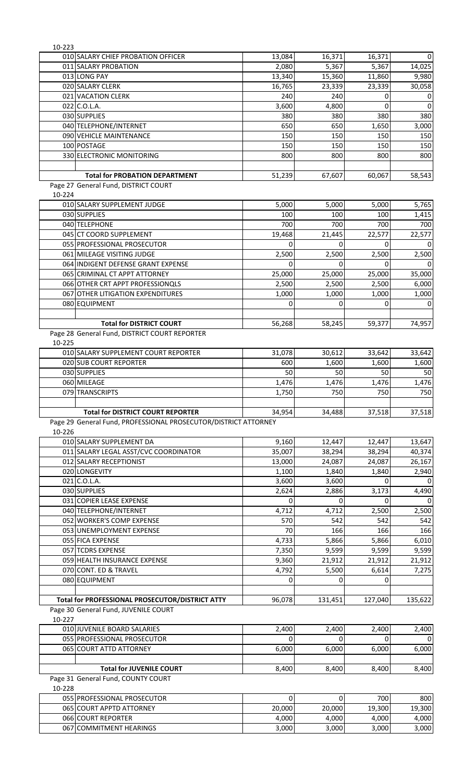| 10-223 |                                                                 |            |                   |            |            |
|--------|-----------------------------------------------------------------|------------|-------------------|------------|------------|
|        | 010 SALARY CHIEF PROBATION OFFICER                              | 13,084     | 16,371            | 16,371     | 0          |
|        | 011 SALARY PROBATION                                            | 2,080      | 5,367             | 5,367      | 14,025     |
|        | 013 LONG PAY                                                    | 13,340     | 15,360            | 11,860     | 9,980      |
|        | 020 SALARY CLERK                                                | 16,765     | 23,339            | 23,339     | 30,058     |
|        | 021 VACATION CLERK                                              | 240        | 240               | 0          | 0          |
|        | 022 C.O.L.A.                                                    | 3,600      | 4,800             | $\Omega$   | $\Omega$   |
|        | 030 SUPPLIES                                                    | 380        | 380               | 380        | 380        |
|        | 040 TELEPHONE/INTERNET<br>090 VEHICLE MAINTENANCE               | 650        | 650               | 1,650      | 3,000      |
|        | 100 POSTAGE                                                     | 150<br>150 | 150<br>150        | 150<br>150 | 150<br>150 |
|        | 330 ELECTRONIC MONITORING                                       | 800        | 800               | 800        | 800        |
|        |                                                                 |            |                   |            |            |
|        | <b>Total for PROBATION DEPARTMENT</b>                           | 51,239     | 67,607            | 60,067     | 58,543     |
|        | Page 27 General Fund, DISTRICT COURT                            |            |                   |            |            |
| 10-224 |                                                                 |            |                   |            |            |
|        | 010 SALARY SUPPLEMENT JUDGE                                     | 5,000      | 5,000             | 5,000      | 5,765      |
|        | 030 SUPPLIES                                                    | 100        | 100               | 100        | 1,415      |
|        | 040 TELEPHONE                                                   | 700        | 700               | 700        | 700        |
|        | 045 CT COORD SUPPLEMENT                                         | 19,468     | 21,445            | 22,577     | 22,577     |
|        | 055 PROFESSIONAL PROSECUTOR                                     | 0          | $\Omega$          | 0          | $\Omega$   |
|        | 061 MILEAGE VISITING JUDGE                                      | 2,500      | 2,500             | 2,500      | 2,500      |
|        | 064 INDIGENT DEFENSE GRANT EXPENSE                              | 0          | 0                 | 0          | $\Omega$   |
|        | 065 CRIMINAL CT APPT ATTORNEY                                   | 25,000     | 25,000            | 25,000     | 35,000     |
|        | 066 OTHER CRT APPT PROFESSIONOLS                                | 2,500      | 2,500             | 2,500      | 6,000      |
|        | 067 OTHER LITIGATION EXPENDITURES                               | 1,000      | 1,000             | 1,000      | 1,000      |
|        | 080 EQUIPMENT                                                   | 0          | 0                 | 0          | 0          |
|        |                                                                 |            |                   |            |            |
|        | <b>Total for DISTRICT COURT</b>                                 | 56,268     | 58,245            | 59,377     | 74,957     |
|        | Page 28 General Fund, DISTRICT COURT REPORTER                   |            |                   |            |            |
| 10-225 |                                                                 |            |                   |            |            |
|        | 010 SALARY SUPPLEMENT COURT REPORTER                            | 31,078     | 30,612            | 33,642     | 33,642     |
|        | 020 SUB COURT REPORTER                                          | 600        | 1,600             | 1,600      | 1,600      |
|        | 030 SUPPLIES                                                    | 50         | 50                | 50         | 50         |
|        | 060 MILEAGE                                                     | 1,476      | 1,476             | 1,476      | 1,476      |
|        | 079 TRANSCRIPTS                                                 | 1,750      | 750               | 750        | 750        |
|        | <b>Total for DISTRICT COURT REPORTER</b>                        | 34,954     | 34,488            | 37,518     | 37,518     |
|        | Page 29 General Fund, PROFESSIONAL PROSECUTOR/DISTRICT ATTORNEY |            |                   |            |            |
| 10-226 |                                                                 |            |                   |            |            |
|        | 010 SALARY SUPPLEMENT DA                                        | 9,160      | 12,447            | 12,447     | 13,647     |
|        | 011 SALARY LEGAL ASST/CVC COORDINATOR                           | 35,007     | 38,294            | 38,294     | 40,374     |
|        | 012 SALARY RECEPTIONIST                                         | 13,000     | 24,087            | 24,087     | 26,167     |
|        | 020 LONGEVITY                                                   | 1,100      | 1,840             | 1,840      | 2,940      |
|        | 021 C.O.L.A.                                                    | 3,600      | 3,600             | 0          | $\Omega$   |
|        | 030 SUPPLIES                                                    | 2,624      | 2,886             | 3,173      | 4,490      |
|        | 031 COPIER LEASE EXPENSE                                        | 0          | $\Omega$          | 0          | $\Omega$   |
|        | 040 TELEPHONE/INTERNET                                          | 4,712      | 4,712             | 2,500      | 2,500      |
|        | 052 WORKER'S COMP EXPENSE                                       | 570        | 542               | 542        | 542        |
|        | 053 UNEMPLOYMENT EXPENSE                                        | 70         | 166               | 166        | 166        |
|        | 055 FICA EXPENSE                                                | 4,733      | 5,866             | 5,866      | 6,010      |
|        | 057 TCDRS EXPENSE                                               | 7,350      | 9,599             | 9,599      | 9,599      |
|        | 059 HEALTH INSURANCE EXPENSE                                    | 9,360      | 21,912            | 21,912     | 21,912     |
|        | 070 CONT. ED & TRAVEL                                           | 4,792      | 5,500             | 6,614      | 7,275      |
|        | 080 EQUIPMENT                                                   | 0          | $\Omega$          | $\Omega$   |            |
|        |                                                                 |            |                   |            |            |
|        | Total for PROFESSIONAL PROSECUTOR/DISTRICT ATTY                 | 96,078     | 131,451           | 127,040    | 135,622    |
| 10-227 | Page 30 General Fund, JUVENILE COURT                            |            |                   |            |            |
|        |                                                                 |            |                   |            |            |
|        | 010 JUVENILE BOARD SALARIES<br>055 PROFESSIONAL PROSECUTOR      | 2,400<br>0 | 2,400<br>$\Omega$ | 2,400<br>0 | 2,400<br>0 |
|        | 065 COURT ATTD ATTORNEY                                         | 6,000      | 6,000             | 6,000      | 6,000      |
|        |                                                                 |            |                   |            |            |
|        | <b>Total for JUVENILE COURT</b>                                 | 8,400      | 8,400             | 8,400      | 8,400      |
|        | Page 31 General Fund, COUNTY COURT                              |            |                   |            |            |
| 10-228 |                                                                 |            |                   |            |            |
|        | 055 PROFESSIONAL PROSECUTOR                                     | 0          | $\pmb{0}$         | 700        | 800        |
|        | 065 COURT APPTD ATTORNEY                                        | 20,000     | 20,000            | 19,300     | 19,300     |
|        |                                                                 |            |                   |            |            |
|        | 066 COURT REPORTER                                              | 4,000      | 4,000             | 4,000      | 4,000      |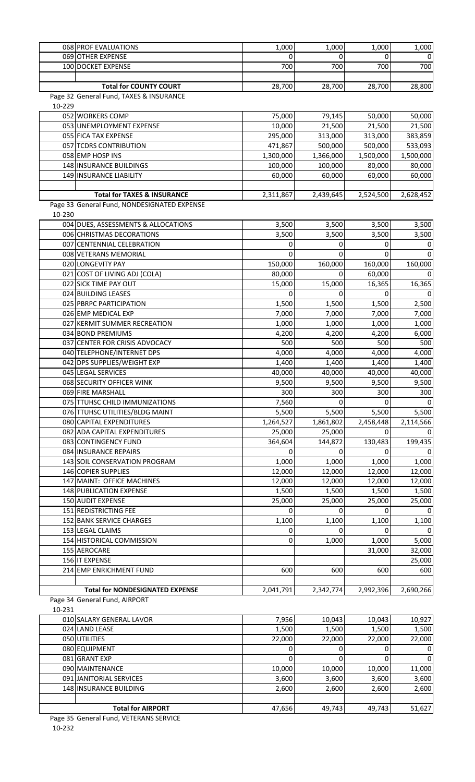|        | 068 PROF EVALUATIONS                                                    | 1,000     | 1,000     | 1,000     | 1,000     |
|--------|-------------------------------------------------------------------------|-----------|-----------|-----------|-----------|
|        | 069 OTHER EXPENSE                                                       | 0         | 0         | 0         | $\Omega$  |
|        | 100 DOCKET EXPENSE                                                      | 700       | 700       | 700       | 700       |
|        |                                                                         |           |           |           |           |
|        | <b>Total for COUNTY COURT</b>                                           | 28,700    | 28,700    | 28,700    | 28,800    |
|        | Page 32 General Fund, TAXES & INSURANCE                                 |           |           |           |           |
| 10-229 |                                                                         |           |           |           |           |
|        | 052 WORKERS COMP                                                        | 75,000    | 79,145    | 50,000    | 50,000    |
|        | 053 UNEMPLOYMENT EXPENSE                                                | 10,000    | 21,500    | 21,500    | 21,500    |
|        | 055 FICA TAX EXPENSE                                                    | 295,000   | 313,000   | 313,000   | 383,859   |
|        | 057 TCDRS CONTRIBUTION                                                  | 471,867   | 500,000   | 500,000   | 533,093   |
|        | 058 EMP HOSP INS                                                        | 1,300,000 | 1,366,000 | 1,500,000 | 1,500,000 |
|        | 148 INSURANCE BUILDINGS                                                 | 100,000   | 100,000   | 80,000    | 80,000    |
|        | 149 INSURANCE LIABILITY                                                 | 60,000    | 60,000    | 60,000    | 60,000    |
|        |                                                                         |           |           |           |           |
|        | <b>Total for TAXES &amp; INSURANCE</b>                                  | 2,311,867 | 2,439,645 | 2,524,500 | 2,628,452 |
| 10-230 | Page 33 General Fund, NONDESIGNATED EXPENSE                             |           |           |           |           |
|        | 004 DUES, ASSESSMENTS & ALLOCATIONS                                     | 3,500     | 3,500     | 3,500     | 3,500     |
|        | 006 CHRISTMAS DECORATIONS                                               | 3,500     | 3,500     | 3,500     | 3,500     |
|        | 007 CENTENNIAL CELEBRATION                                              | 0         | 0         | 0         | 0         |
|        | 008 VETERANS MEMORIAL                                                   | 0         | 0         | 0         | $\Omega$  |
|        | 020 LONGEVITY PAY                                                       | 150,000   | 160,000   | 160,000   | 160,000   |
|        | 021 COST OF LIVING ADJ (COLA)                                           | 80,000    | 0         | 60,000    |           |
|        | 022 SICK TIME PAY OUT                                                   | 15,000    | 15,000    | 16,365    | 16,365    |
|        | 024 BUILDING LEASES                                                     | 0         | 0         | 0         | 0         |
|        | 025 PBRPC PARTICIPATION                                                 | 1,500     | 1,500     | 1,500     | 2,500     |
|        | 026 EMP MEDICAL EXP                                                     | 7,000     | 7,000     | 7,000     | 7,000     |
|        | 027 KERMIT SUMMER RECREATION                                            | 1,000     | 1,000     | 1,000     | 1,000     |
|        | 034 BOND PREMIUMS                                                       | 4,200     | 4,200     | 4,200     | 6,000     |
|        | 037 CENTER FOR CRISIS ADVOCACY                                          | 500       | 500       | 500       | 500       |
|        | 040 TELEPHONE/INTERNET DPS                                              | 4,000     | 4,000     | 4,000     | 4,000     |
|        | 042 DPS SUPPLIES/WEIGHT EXP                                             | 1,400     | 1,400     | 1,400     | 1,400     |
|        | 045 LEGAL SERVICES                                                      | 40,000    | 40,000    | 40,000    | 40,000    |
|        | 068 SECURITY OFFICER WINK                                               | 9,500     | 9,500     | 9,500     | 9,500     |
|        | 069 FIRE MARSHALL                                                       | 300       | 300       | 300       | 300       |
|        | 075 TTUHSC CHILD IMMUNIZATIONS                                          | 7,560     | 0         | U         | $\Omega$  |
|        | 076 TTUHSC UTILITIES/BLDG MAINT                                         | 5,500     | 5,500     | 5,500     | 5,500     |
|        | 080 CAPITAL EXPENDITURES                                                | 1,264,527 | 1,861,802 | 2,458,448 | 2,114,566 |
|        | 082 ADA CAPITAL EXPENDITURES                                            | 25,000    | 25,000    | 0         |           |
|        | 083 CONTINGENCY FUND                                                    | 364,604   | 144,872   | 130,483   | 199,435   |
|        | 084 INSURANCE REPAIRS                                                   | 0         | 0         |           |           |
|        | 143 SOIL CONSERVATION PROGRAM                                           | 1,000     | 1,000     | 1,000     | 1,000     |
|        | 146 COPIER SUPPLIES                                                     | 12,000    | 12,000    | 12,000    | 12,000    |
|        | 147 MAINT: OFFICE MACHINES                                              | 12,000    | 12,000    | 12,000    | 12,000    |
|        | 148 PUBLICATION EXPENSE                                                 | 1,500     | 1,500     | 1,500     | 1,500     |
|        | <b>150 AUDIT EXPENSE</b>                                                | 25,000    | 25,000    | 25,000    | 25,000    |
|        | 151 REDISTRICTING FEE                                                   | 0         | 0         | 0         |           |
|        | 152 BANK SERVICE CHARGES                                                | 1,100     | 1,100     | 1,100     | 1,100     |
|        | 153 LEGAL CLAIMS                                                        | 0         | 0         | 0         |           |
|        | 154 HISTORICAL COMMISSION                                               | 0         | 1,000     | 1,000     | 5,000     |
|        | 155 AEROCARE                                                            |           |           | 31,000    | 32,000    |
|        | 156 IT EXPENSE                                                          |           |           |           | 25,000    |
|        | 214 EMP ENRICHMENT FUND                                                 | 600       | 600       | 600       | 600       |
|        |                                                                         |           |           |           |           |
|        | <b>Total for NONDESIGNATED EXPENSE</b><br>Page 34 General Fund, AIRPORT | 2,041,791 | 2,342,774 | 2,992,396 | 2,690,266 |
|        |                                                                         |           |           |           |           |
| 10-231 | 010 SALARY GENERAL LAVOR                                                | 7,956     | 10,043    | 10,043    | 10,927    |
|        | 024 LAND LEASE                                                          | 1,500     | 1,500     | 1,500     | 1,500     |
|        | 050 UTILITIES                                                           | 22,000    | 22,000    | 22,000    | 22,000    |
|        | 080 EQUIPMENT                                                           | 0         | 0         | 0         | 0         |
|        | 081 GRANT EXP                                                           | 0         | 0         | 0         | $\Omega$  |
|        | 090 MAINTENANCE                                                         | 10,000    | 10,000    | 10,000    | 11,000    |
|        | 091 JANITORIAL SERVICES                                                 | 3,600     | 3,600     | 3,600     | 3,600     |
|        | 148 INSURANCE BUILDING                                                  | 2,600     | 2,600     | 2,600     | 2,600     |
|        |                                                                         |           |           |           |           |
|        | <b>Total for AIRPORT</b>                                                | 47,656    | 49,743    | 49,743    | 51,627    |

Page 35 General Fund, VETERANS SERVICE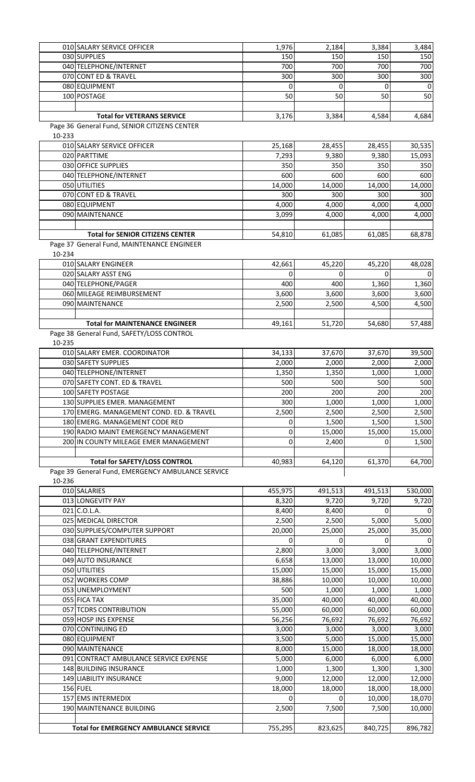|        | 010 SALARY SERVICE OFFICER                        | 1,976       | 2,184   | 3,384    | 3,484   |
|--------|---------------------------------------------------|-------------|---------|----------|---------|
|        | 030 SUPPLIES                                      | 150         | 150     | 150      | 150     |
|        | 040 TELEPHONE/INTERNET                            | 700         | 700     | 700      | 700     |
|        | 070 CONT ED & TRAVEL                              | 300         | 300     | 300      | 300     |
|        |                                                   |             |         |          |         |
|        | 080 EQUIPMENT                                     | 0           | 0       |          | 0       |
|        | 100 POSTAGE                                       | 50          | 50      | 50       | 50      |
|        |                                                   |             |         |          |         |
|        | <b>Total for VETERANS SERVICE</b>                 | 3,176       | 3,384   | 4,584    | 4,684   |
|        |                                                   |             |         |          |         |
|        | Page 36 General Fund, SENIOR CITIZENS CENTER      |             |         |          |         |
| 10-233 |                                                   |             |         |          |         |
|        | 010 SALARY SERVICE OFFICER                        | 25,168      | 28,455  | 28,455   | 30,535  |
|        | 020 PARTTIME                                      | 7,293       | 9,380   | 9,380    | 15,093  |
|        |                                                   |             |         |          |         |
|        | 030 OFFICE SUPPLIES                               | 350         | 350     | 350      | 350     |
|        | 040 TELEPHONE/INTERNET                            | 600         | 600     | 600      | 600     |
|        | 050 UTILITIES                                     | 14,000      | 14,000  | 14,000   | 14,000  |
|        | 070 CONT ED & TRAVEL                              |             |         |          |         |
|        |                                                   | 300         | 300     | 300      | 300     |
|        | 080 EQUIPMENT                                     | 4,000       | 4,000   | 4,000    | 4,000   |
|        | 090 MAINTENANCE                                   | 3,099       | 4,000   | 4,000    | 4,000   |
|        |                                                   |             |         |          |         |
|        |                                                   |             |         |          |         |
|        | <b>Total for SENIOR CITIZENS CENTER</b>           | 54,810      | 61,085  | 61,085   | 68,878  |
|        | Page 37 General Fund, MAINTENANCE ENGINEER        |             |         |          |         |
| 10-234 |                                                   |             |         |          |         |
|        | 010 SALARY ENGINEER                               | 42,661      | 45,220  | 45,220   | 48,028  |
|        |                                                   |             |         |          |         |
|        | 020 SALARY ASST ENG                               | 0           | 0       | 0        | 0       |
|        | 040 TELEPHONE/PAGER                               | 400         | 400     | 1,360    | 1,360   |
|        | 060 MILEAGE REIMBURSEMENT                         | 3,600       | 3,600   | 3,600    | 3,600   |
|        | 090 MAINTENANCE                                   | 2,500       | 2,500   | 4,500    | 4,500   |
|        |                                                   |             |         |          |         |
|        |                                                   |             |         |          |         |
|        | <b>Total for MAINTENANCE ENGINEER</b>             | 49,161      | 51,720  | 54,680   | 57,488  |
|        | Page 38 General Fund, SAFETY/LOSS CONTROL         |             |         |          |         |
|        |                                                   |             |         |          |         |
| 10-235 |                                                   |             |         |          |         |
|        | 010 SALARY EMER. COORDINATOR                      | 34,133      | 37,670  | 37,670   | 39,500  |
|        | 030 SAFETY SUPPLIES                               | 2,000       | 2,000   | 2,000    | 2,000   |
|        | 040 TELEPHONE/INTERNET                            | 1,350       | 1,350   | 1,000    | 1,000   |
|        |                                                   |             |         |          |         |
|        | 070 SAFETY CONT. ED & TRAVEL                      | 500         | 500     | 500      | 500     |
|        | 100 SAFETY POSTAGE                                | 200         | 200     | 200      | 200     |
|        | 130 SUPPLIES EMER. MANAGEMENT                     | 300         | 1,000   | 1,000    | 1,000   |
|        | 170 EMERG. MANAGEMENT COND. ED. & TRAVEL          | 2,500       | 2,500   | 2,500    | 2,500   |
|        |                                                   |             |         |          |         |
|        | 180 EMERG. MANAGEMENT CODE RED                    | 0           | 1,500   | 1,500    | 1,500   |
|        | 190 RADIO MAINT EMERGENCY MANAGEMENT              | 0           | 15,000  | 15,000   | 15,000  |
|        | 200 IN COUNTY MILEAGE EMER MANAGEMENT             | $\mathbf 0$ | 2,400   | $\Omega$ | 1,500   |
|        |                                                   |             |         |          |         |
|        |                                                   |             |         |          |         |
|        | <b>Total for SAFETY/LOSS CONTROL</b>              | 40,983      | 64,120  | 61,370   | 64,700  |
|        | Page 39 General Fund, EMERGENCY AMBULANCE SERVICE |             |         |          |         |
| 10-236 |                                                   |             |         |          |         |
|        | 010 SALARIES                                      | 455,975     | 491,513 | 491,513  | 530,000 |
|        |                                                   |             |         |          |         |
|        | 013 LONGEVITY PAY                                 | 8,320       | 9,720   | 9,720    | 9,720   |
|        | 021 C.O.L.A.                                      | 8,400       | 8,400   | $\Omega$ |         |
|        | 025 MEDICAL DIRECTOR                              | 2,500       | 2,500   | 5,000    | 5,000   |
|        | 030 SUPPLIES/COMPUTER SUPPORT                     | 20,000      | 25,000  | 25,000   | 35,000  |
|        |                                                   |             |         |          |         |
|        | 038 GRANT EXPENDITURES                            | 0           | 0       | $\Omega$ |         |
|        | 040 TELEPHONE/INTERNET                            | 2,800       | 3,000   | 3,000    | 3,000   |
|        | 049 AUTO INSURANCE                                | 6,658       | 13,000  | 13,000   | 10,000  |
|        | 050 UTILITIES                                     | 15,000      | 15,000  | 15,000   | 15,000  |
|        |                                                   |             |         |          |         |
|        | 052 WORKERS COMP                                  | 38,886      | 10,000  | 10,000   | 10,000  |
|        | 053 UNEMPLOYMENT                                  | 500         | 1,000   | 1,000    | 1,000   |
|        | 055 FICA TAX                                      | 35,000      | 40,000  | 40,000   | 40,000  |
|        | 057 TCDRS CONTRIBUTION                            | 55,000      | 60,000  | 60,000   | 60,000  |
|        |                                                   |             |         |          |         |
|        | 059 HOSP INS EXPENSE                              | 56,256      | 76,692  | 76,692   | 76,692  |
|        | 070 CONTINUING ED                                 | 3,000       | 3,000   | 3,000    | 3,000   |
|        | 080 EQUIPMENT                                     | 3,500       | 5,000   | 15,000   | 15,000  |
|        | 090 MAINTENANCE                                   | 8,000       | 15,000  | 18,000   | 18,000  |
|        |                                                   |             |         |          |         |
|        | 091 CONTRACT AMBULANCE SERVICE EXPENSE            | 5,000       | 6,000   | 6,000    | 6,000   |
|        | 148 BUILDING INSURANCE                            | 1,000       | 1,300   | 1,300    | 1,300   |
|        | 149 LIABILITY INSURANCE                           | 9,000       | 12,000  | 12,000   | 12,000  |
|        | 156 FUEL                                          | 18,000      | 18,000  | 18,000   | 18,000  |
|        |                                                   |             |         |          |         |
|        | 157 EMS INTERMEDIX                                | 0           | 0       | 10,000   | 18,070  |
|        | 190 MAINTENANCE BUILDING                          | 2,500       | 7,500   | 7,500    | 10,000  |
|        |                                                   |             |         |          |         |
|        | <b>Total for EMERGENCY AMBULANCE SERVICE</b>      | 755,295     | 823,625 | 840,725  | 896,782 |
|        |                                                   |             |         |          |         |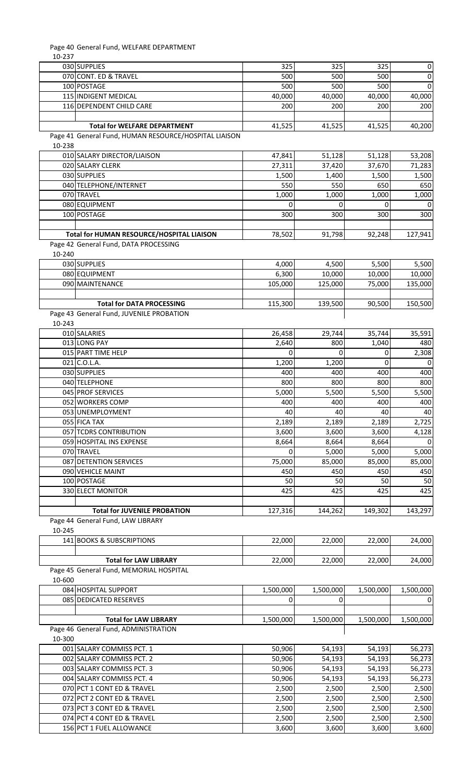Page 40 General Fund, WELFARE DEPARTMENT

| 10-237 |                                                       |           |           |           |           |
|--------|-------------------------------------------------------|-----------|-----------|-----------|-----------|
|        | 030 SUPPLIES                                          | 325       | 325       | 325       | 0         |
|        | 070 CONT. ED & TRAVEL                                 | 500       | 500       | 500       | $\Omega$  |
|        | 100 POSTAGE                                           | 500       | 500       | 500       | $\Omega$  |
|        | 115 INDIGENT MEDICAL                                  | 40,000    | 40,000    | 40,000    | 40,000    |
|        |                                                       |           |           |           |           |
|        | 116 DEPENDENT CHILD CARE                              | 200       | 200       | 200       | 200       |
|        |                                                       |           |           |           |           |
|        | <b>Total for WELFARE DEPARTMENT</b>                   | 41,525    | 41,525    | 41,525    | 40,200    |
|        | Page 41 General Fund, HUMAN RESOURCE/HOSPITAL LIAISON |           |           |           |           |
| 10-238 |                                                       |           |           |           |           |
|        | 010 SALARY DIRECTOR/LIAISON                           | 47,841    | 51,128    | 51,128    | 53,208    |
|        | 020 SALARY CLERK                                      | 27,311    | 37,420    | 37,670    | 71,283    |
|        |                                                       |           |           |           |           |
|        | 030 SUPPLIES                                          | 1,500     | 1,400     | 1,500     | 1,500     |
|        | 040 TELEPHONE/INTERNET                                | 550       | 550       | 650       | 650       |
|        | 070 TRAVEL                                            | 1,000     | 1,000     | 1,000     | 1,000     |
|        | 080 EQUIPMENT                                         | 0         | 0         | 0         |           |
|        | 100 POSTAGE                                           | 300       | 300       | 300       | 300       |
|        |                                                       |           |           |           |           |
|        |                                                       |           |           |           |           |
|        | Total for HUMAN RESOURCE/HOSPITAL LIAISON             | 78,502    | 91,798    | 92,248    | 127,941   |
|        | Page 42 General Fund, DATA PROCESSING                 |           |           |           |           |
| 10-240 |                                                       |           |           |           |           |
|        | 030 SUPPLIES                                          | 4,000     | 4,500     | 5,500     | 5,500     |
|        | 080 EQUIPMENT                                         | 6,300     | 10,000    | 10,000    | 10,000    |
|        | 090 MAINTENANCE                                       | 105,000   |           |           |           |
|        |                                                       |           | 125,000   | 75,000    | 135,000   |
|        |                                                       |           |           |           |           |
|        | <b>Total for DATA PROCESSING</b>                      | 115,300   | 139,500   | 90,500    | 150,500   |
|        | Page 43 General Fund, JUVENILE PROBATION              |           |           |           |           |
| 10-243 |                                                       |           |           |           |           |
|        | 010 SALARIES                                          | 26,458    | 29,744    | 35,744    | 35,591    |
|        | 013 LONG PAY                                          | 2,640     | 800       | 1,040     | 480       |
|        |                                                       |           |           |           |           |
|        | 015 PART TIME HELP                                    | 0         | 0         | 0         | 2,308     |
|        | 021 C.O.L.A.                                          | 1,200     | 1,200     | 0         | 0         |
|        | 030 SUPPLIES                                          | 400       | 400       | 400       | 400       |
|        | 040 TELEPHONE                                         | 800       | 800       | 800       | 800       |
|        | 045 PROF SERVICES                                     | 5,000     | 5,500     | 5,500     | 5,500     |
|        |                                                       | 400       |           |           | 400       |
|        | 052 WORKERS COMP                                      |           | 400       | 400       |           |
|        | 053 UNEMPLOYMENT                                      | 40        | 40        | 40        | 40        |
|        | 055 FICA TAX                                          | 2,189     | 2,189     | 2,189     | 2,725     |
|        | 057 TCDRS CONTRIBUTION                                | 3,600     | 3,600     | 3,600     | 4,128     |
|        | 059 HOSPITAL INS EXPENSE                              | 8,664     | 8,664     | 8,664     | 0         |
|        | 070 TRAVEL                                            | 0         | 5,000     | 5,000     | 5,000     |
|        |                                                       |           |           |           |           |
|        | 087 DETENTION SERVICES                                | 75,000    | 85,000    | 85,000    | 85,000    |
|        | 090 VEHICLE MAINT                                     | 450       | 450       | 450       | 450       |
|        | 100 POSTAGE                                           | 50        | 50        | 50        | 50        |
|        | 330 ELECT MONITOR                                     | 425       | 425       | 425       | 425       |
|        |                                                       |           |           |           |           |
|        | <b>Total for JUVENILE PROBATION</b>                   | 127,316   | 144,262   | 149,302   | 143,297   |
|        |                                                       |           |           |           |           |
|        | Page 44 General Fund, LAW LIBRARY                     |           |           |           |           |
| 10-245 |                                                       |           |           |           |           |
|        | 141 BOOKS & SUBSCRIPTIONS                             | 22,000    | 22,000    | 22,000    | 24,000    |
|        |                                                       |           |           |           |           |
|        | <b>Total for LAW LIBRARY</b>                          | 22,000    | 22,000    | 22,000    | 24,000    |
|        | Page 45 General Fund, MEMORIAL HOSPITAL               |           |           |           |           |
|        |                                                       |           |           |           |           |
| 10-600 |                                                       |           |           |           |           |
|        | 084 HOSPITAL SUPPORT                                  | 1,500,000 | 1,500,000 | 1,500,000 | 1,500,000 |
|        | 085 DEDICATED RESERVES                                | 0         | 0         |           | 0         |
|        |                                                       |           |           |           |           |
|        | <b>Total for LAW LIBRARY</b>                          | 1,500,000 | 1,500,000 | 1,500,000 | 1,500,000 |
|        | Page 46 General Fund, ADMINISTRATION                  |           |           |           |           |
| 10-300 |                                                       |           |           |           |           |
|        |                                                       |           |           |           |           |
|        | 001 SALARY COMMISS PCT. 1                             | 50,906    | 54,193    | 54,193    | 56,273    |
|        | 002 SALARY COMMISS PCT. 2                             | 50,906    | 54,193    | 54,193    | 56,273    |
|        | 003 SALARY COMMISS PCT. 3                             | 50,906    | 54,193    | 54,193    | 56,273    |
|        | 004 SALARY COMMISS PCT. 4                             | 50,906    | 54,193    | 54,193    | 56,273    |
|        | 070 PCT 1 CONT ED & TRAVEL                            | 2,500     | 2,500     | 2,500     | 2,500     |
|        | 072 PCT 2 CONT ED & TRAVEL                            |           |           |           |           |
|        |                                                       | 2,500     | 2,500     | 2,500     | 2,500     |
|        | 073 PCT 3 CONT ED & TRAVEL                            | 2,500     | 2,500     | 2,500     | 2,500     |
|        | 074 PCT 4 CONT ED & TRAVEL                            | 2,500     | 2,500     | 2,500     | 2,500     |
|        | 156 PCT 1 FUEL ALLOWANCE                              | 3,600     | 3,600     | 3,600     | 3,600     |
|        |                                                       |           |           |           |           |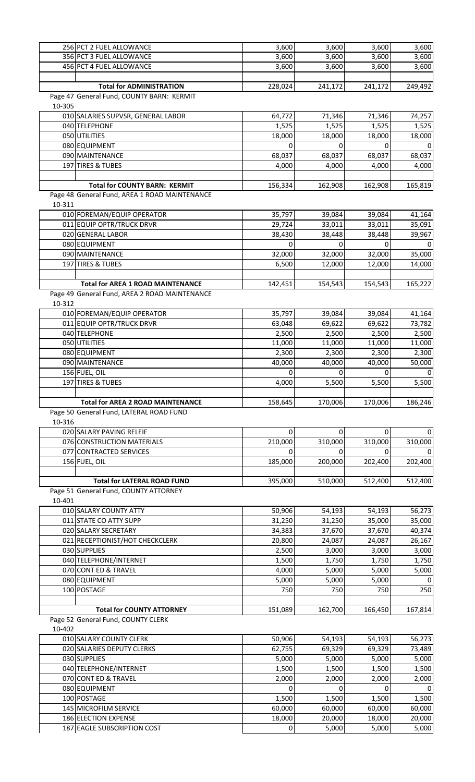|        | 256 PCT 2 FUEL ALLOWANCE                      | 3,600    | 3,600    | 3,600    | 3,600   |
|--------|-----------------------------------------------|----------|----------|----------|---------|
|        | 356 PCT 3 FUEL ALLOWANCE                      | 3,600    | 3,600    | 3,600    | 3,600   |
|        | 456 PCT 4 FUEL ALLOWANCE                      | 3,600    | 3,600    | 3,600    | 3,600   |
|        |                                               |          |          |          |         |
|        | <b>Total for ADMINISTRATION</b>               | 228,024  | 241,172  | 241,172  | 249,492 |
|        | Page 47 General Fund, COUNTY BARN: KERMIT     |          |          |          |         |
| 10-305 |                                               |          |          |          |         |
|        | 010 SALARIES SUPVSR, GENERAL LABOR            | 64,772   | 71,346   | 71,346   | 74,257  |
|        | 040 TELEPHONE                                 | 1,525    | 1,525    | 1,525    | 1,525   |
|        | 050 UTILITIES                                 | 18,000   | 18,000   | 18,000   | 18,000  |
|        | 080 EQUIPMENT                                 | 0        | 0        | 0        |         |
|        | 090 MAINTENANCE                               | 68,037   | 68,037   | 68,037   | 68,037  |
|        | 197 TIRES & TUBES                             | 4,000    | 4,000    | 4,000    | 4,000   |
|        |                                               |          |          |          |         |
|        | <b>Total for COUNTY BARN: KERMIT</b>          | 156,334  | 162,908  | 162,908  | 165,819 |
|        | Page 48 General Fund, AREA 1 ROAD MAINTENANCE |          |          |          |         |
| 10-311 |                                               |          |          |          |         |
|        | 010 FOREMAN/EQUIP OPERATOR                    | 35,797   | 39,084   | 39,084   | 41,164  |
|        | 011 EQUIP OPTR/TRUCK DRVR                     | 29,724   | 33,011   | 33,011   | 35,091  |
|        | 020 GENERAL LABOR                             | 38,430   | 38,448   | 38,448   | 39,967  |
|        | 080 EQUIPMENT                                 | O        | 0        | 0        |         |
|        | 090 MAINTENANCE                               | 32,000   | 32,000   | 32,000   | 35,000  |
|        | 197 TIRES & TUBES                             | 6,500    | 12,000   | 12,000   | 14,000  |
|        |                                               |          |          |          |         |
|        | <b>Total for AREA 1 ROAD MAINTENANCE</b>      | 142,451  | 154,543  | 154,543  | 165,222 |
|        | Page 49 General Fund, AREA 2 ROAD MAINTENANCE |          |          |          |         |
| 10-312 |                                               |          |          |          |         |
|        | 010 FOREMAN/EQUIP OPERATOR                    | 35,797   | 39,084   | 39,084   | 41,164  |
|        | 011 EQUIP OPTR/TRUCK DRVR                     | 63,048   | 69,622   | 69,622   | 73,782  |
|        | 040 TELEPHONE                                 | 2,500    | 2,500    | 2,500    | 2,500   |
|        | 050 UTILITIES                                 | 11,000   | 11,000   | 11,000   | 11,000  |
|        | 080 EQUIPMENT                                 | 2,300    | 2,300    | 2,300    | 2,300   |
|        | 090 MAINTENANCE                               | 40,000   | 40,000   | 40,000   | 50,000  |
|        | 156 FUEL, OIL                                 | O        | 0        | U        |         |
|        | 197 TIRES & TUBES                             | 4,000    | 5,500    | 5,500    | 5,500   |
|        |                                               |          |          |          |         |
|        | <b>Total for AREA 2 ROAD MAINTENANCE</b>      |          |          |          |         |
|        |                                               | 158,645  | 170,006  | 170,006  | 186,246 |
|        | Page 50 General Fund, LATERAL ROAD FUND       |          |          |          |         |
| 10-316 |                                               |          |          |          |         |
|        | 020 SALARY PAVING RELEIF                      | $\Omega$ | 0        | $\Omega$ |         |
|        | 076 CONSTRUCTION MATERIALS                    | 210,000  | 310,000  | 310,000  | 310,000 |
|        | 077 CONTRACTED SERVICES                       | 0        |          | 0        |         |
|        | 156 FUEL, OIL                                 | 185,000  | 200,000  | 202,400  | 202,400 |
|        |                                               |          |          |          |         |
|        | <b>Total for LATERAL ROAD FUND</b>            | 395,000  | 510,000  | 512,400  | 512,400 |
|        | Page 51 General Fund, COUNTY ATTORNEY         |          |          |          |         |
| 10-401 |                                               |          |          |          |         |
|        | 010 SALARY COUNTY ATTY                        | 50,906   | 54,193   | 54,193   | 56,273  |
|        | 011 STATE CO ATTY SUPP                        | 31,250   | 31,250   | 35,000   | 35,000  |
|        | 020 SALARY SECRETARY                          | 34,383   | 37,670   | 37,670   | 40,374  |
|        | 021 RECEPTIONIST/HOT CHECKCLERK               | 20,800   | 24,087   | 24,087   | 26,167  |
|        | 030 SUPPLIES                                  | 2,500    | 3,000    | 3,000    | 3,000   |
|        | 040 TELEPHONE/INTERNET                        | 1,500    | 1,750    | 1,750    | 1,750   |
|        | 070 CONT ED & TRAVEL                          | 4,000    | 5,000    | 5,000    | 5,000   |
|        | 080 EQUIPMENT                                 | 5,000    | 5,000    | 5,000    | O       |
|        | 100 POSTAGE                                   | 750      | 750      | 750      | 250     |
|        |                                               |          |          |          |         |
|        | <b>Total for COUNTY ATTORNEY</b>              | 151,089  | 162,700  | 166,450  | 167,814 |
|        | Page 52 General Fund, COUNTY CLERK            |          |          |          |         |
| 10-402 |                                               |          |          |          |         |
|        | 010 SALARY COUNTY CLERK                       | 50,906   | 54,193   | 54,193   | 56,273  |
|        | 020 SALARIES DEPUTY CLERKS                    | 62,755   | 69,329   | 69,329   | 73,489  |
|        | 030 SUPPLIES                                  | 5,000    | 5,000    | 5,000    | 5,000   |
|        | 040 TELEPHONE/INTERNET                        | 1,500    | 1,500    | 1,500    | 1,500   |
|        | 070 CONT ED & TRAVEL                          | 2,000    | 2,000    | 2,000    | 2,000   |
|        | 080 EQUIPMENT                                 | $\Omega$ | $\Omega$ | $\Omega$ |         |
|        | 100 POSTAGE                                   | 1,500    | 1,500    | 1,500    | 1,500   |
|        | 145 MICROFILM SERVICE                         | 60,000   | 60,000   | 60,000   | 60,000  |
|        | 186 ELECTION EXPENSE                          | 18,000   | 20,000   | 18,000   | 20,000  |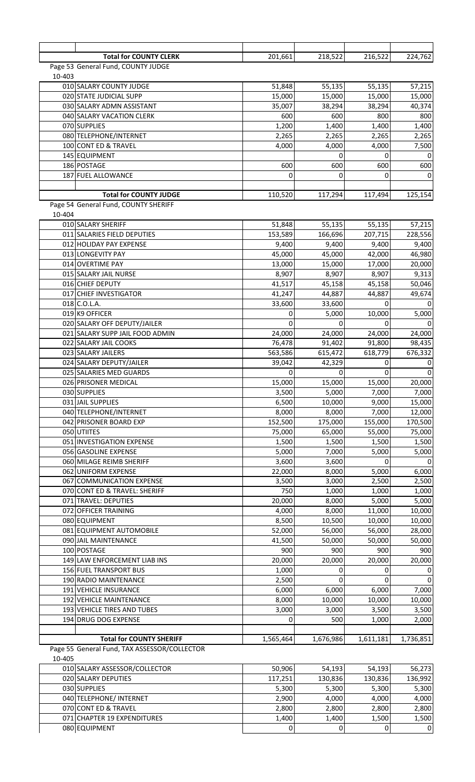|        | <b>Total for COUNTY CLERK</b>                        | 201,661           | 218,522           | 216,522           | 224,762           |
|--------|------------------------------------------------------|-------------------|-------------------|-------------------|-------------------|
|        | Page 53 General Fund, COUNTY JUDGE                   |                   |                   |                   |                   |
| 10-403 |                                                      |                   |                   |                   |                   |
|        | 010 SALARY COUNTY JUDGE                              | 51,848            | 55,135            | 55,135            | 57,215            |
|        | 020 STATE JUDICIAL SUPP<br>030 SALARY ADMN ASSISTANT | 15,000<br>35,007  | 15,000<br>38,294  | 15,000            | 15,000            |
|        | 040 SALARY VACATION CLERK                            | 600               | 600               | 38,294<br>800     | 40,374<br>800     |
|        | 070 SUPPLIES                                         | 1,200             | 1,400             | 1,400             | 1,400             |
|        | 080 TELEPHONE/INTERNET                               | 2,265             | 2,265             | 2,265             | 2,265             |
|        | 100 CONT ED & TRAVEL                                 | 4,000             | 4,000             | 4,000             | 7,500             |
|        | 145 EQUIPMENT                                        |                   |                   | O                 |                   |
|        | 186 POSTAGE                                          | 600               | 600               | 600               | 600               |
|        | 187 FUEL ALLOWANCE                                   | 0                 | 0                 |                   |                   |
|        | <b>Total for COUNTY JUDGE</b>                        | 110,520           | 117,294           | 117,494           | 125,154           |
|        | Page 54 General Fund, COUNTY SHERIFF                 |                   |                   |                   |                   |
| 10-404 |                                                      |                   |                   |                   |                   |
|        | 010 SALARY SHERIFF                                   | 51,848            | 55,135            | 55,135            | 57,215            |
|        | 011 SALARIES FIELD DEPUTIES                          | 153,589           | 166,696           | 207,715           | 228,556           |
|        | 012 HOLIDAY PAY EXPENSE                              | 9,400             | 9,400             | 9,400             | 9,400             |
|        | 013 LONGEVITY PAY<br>014 OVERTIME PAY                | 45,000<br>13,000  | 45,000<br>15,000  | 42,000<br>17,000  | 46,980<br>20,000  |
|        | 015 SALARY JAIL NURSE                                | 8,907             | 8,907             | 8,907             | 9,313             |
|        | 016 CHIEF DEPUTY                                     | 41,517            | 45,158            | 45,158            | 50,046            |
|        | 017 CHIEF INVESTIGATOR                               | 41,247            | 44,887            | 44,887            | 49,674            |
|        | 018 C.O.L.A.                                         | 33,600            | 33,600            | $\Omega$          |                   |
|        | 019 K9 OFFICER                                       | 0                 | 5,000             | 10,000            | 5,000             |
|        | 020 SALARY OFF DEPUTY/JAILER                         | $\Omega$          | 0                 | $\Omega$          |                   |
|        | 021 SALARY SUPP JAIL FOOD ADMIN                      | 24,000            | 24,000            | 24,000            | 24,000            |
|        | 022 SALARY JAIL COOKS<br>023 SALARY JAILERS          | 76,478<br>563,586 | 91,402<br>615,472 | 91,800<br>618,779 | 98,435<br>676,332 |
|        | 024 SALARY DEPUTY/JAILER                             | 39,042            | 42,329            | 0                 |                   |
|        | 025 SALARIES MED GUARDS                              | 0                 | 0                 | n                 |                   |
|        | 026 PRISONER MEDICAL                                 | 15,000            | 15,000            | 15,000            | 20,000            |
|        | 030 SUPPLIES                                         | 3,500             | 5,000             | 7,000             | 7,000             |
|        | 031 JAIL SUPPLIES                                    | 6,500             | 10,000            | 9,000             | 15,000            |
|        | 040 TELEPHONE/INTERNET                               | 8,000             | 8,000             | 7,000             | 12,000            |
|        | 042 PRISONER BOARD EXP<br>050 UTIITES                | 152,500<br>75,000 | 175,000<br>65,000 | 155,000<br>55,000 | 170,500<br>75,000 |
|        | 051 INVESTIGATION EXPENSE                            | 1,500             | 1,500             | 1,500             | 1,500             |
|        | 056 GASOLINE EXPENSE                                 | 5,000             | 7,000             | 5,000             | 5,000             |
|        | 060 MILAGE REIMB SHERIFF                             | 3,600             | 3,600             | $\Omega$          |                   |
|        | 062 UNIFORM EXPENSE                                  | 22,000            | 8,000             | 5,000             | 6,000             |
|        | 067 COMMUNICATION EXPENSE                            | 3,500             | 3,000             | 2,500             | 2,500             |
|        | 070 CONT ED & TRAVEL: SHERIFF                        | 750               | 1,000             | 1,000             | 1,000             |
|        | 071 TRAVEL: DEPUTIES                                 | 20,000            | 8,000             | 5,000             | 5,000             |
|        | 072 OFFICER TRAINING<br>080 EQUIPMENT                | 4,000<br>8,500    | 8,000<br>10,500   | 11,000<br>10,000  | 10,000<br>10,000  |
|        | 081 EQUIPMENT AUTOMOBILE                             | 52,000            | 56,000            | 56,000            | 28,000            |
|        | 090 JAIL MAINTENANCE                                 | 41,500            | 50,000            | 50,000            | 50,000            |
|        | 100 POSTAGE                                          | 900               | 900               | 900               | 900               |
|        | 149 LAW ENFORCEMENT LIAB INS                         | 20,000            | 20,000            | 20,000            | 20,000            |
|        | 156 FUEL TRANSPORT BUS                               | 1,000             | 0                 |                   |                   |
|        | 190 RADIO MAINTENANCE<br>191 VEHICLE INSURANCE       | 2,500             | 0<br>6,000        | 0                 |                   |
|        | 192 VEHICLE MAINTENANCE                              | 6,000<br>8,000    | 10,000            | 6,000<br>10,000   | 7,000<br>10,000   |
|        | 193 VEHICLE TIRES AND TUBES                          | 3,000             | 3,000             | 3,500             | 3,500             |
|        | 194 DRUG DOG EXPENSE                                 | 0                 | 500               | 1,000             | 2,000             |
|        |                                                      |                   |                   |                   |                   |
|        | <b>Total for COUNTY SHERIFF</b>                      | 1,565,464         | 1,676,986         | 1,611,181         | 1,736,851         |
|        | Page 55 General Fund, TAX ASSESSOR/COLLECTOR         |                   |                   |                   |                   |
| 10-405 | 010 SALARY ASSESSOR/COLLECTOR                        | 50,906            | 54,193            | 54,193            | 56,273            |
|        | 020 SALARY DEPUTIES                                  | 117,251           | 130,836           | 130,836           | 136,992           |
|        | 030 SUPPLIES                                         | 5,300             | 5,300             | 5,300             | 5,300             |
|        | 040 TELEPHONE/ INTERNET                              | 2,900             | 4,000             | 4,000             | 4,000             |
|        | 070 CONT ED & TRAVEL                                 | 2,800             | 2,800             | 2,800             | 2,800             |
|        | 071 CHAPTER 19 EXPENDITURES                          | 1,400             | 1,400             | 1,500             | 1,500             |
|        | 080 EQUIPMENT                                        | 0                 | 0                 | $\mathbf 0$       | 0                 |

EQUIPMENT 0 0 0 0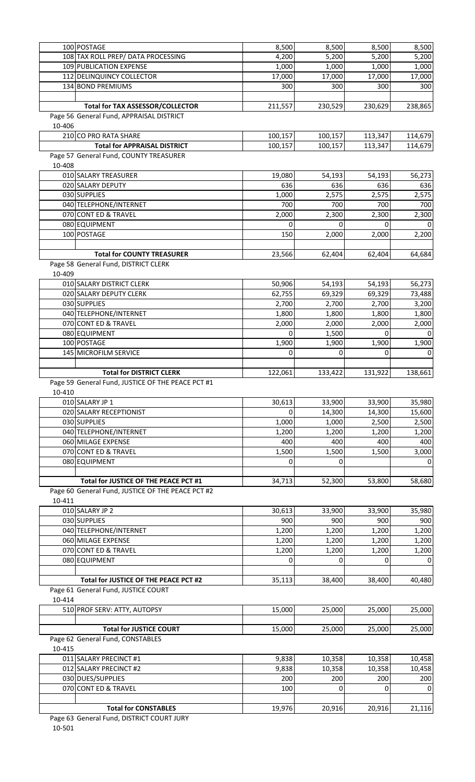|        | 100 POSTAGE                                       | 8,500    | 8,500   | 8,500    | 8,500    |
|--------|---------------------------------------------------|----------|---------|----------|----------|
|        | 108 TAX ROLL PREP/ DATA PROCESSING                | 4,200    | 5,200   | 5,200    | 5,200    |
|        | 109 PUBLICATION EXPENSE                           | 1,000    | 1,000   | 1,000    | 1,000    |
|        | 112 DELINQUINCY COLLECTOR                         | 17,000   | 17,000  | 17,000   | 17,000   |
|        | 134 BOND PREMIUMS                                 | 300      | 300     | 300      | 300      |
|        |                                                   |          |         |          |          |
|        | Total for TAX ASSESSOR/COLLECTOR                  | 211,557  | 230,529 | 230,629  | 238,865  |
|        | Page 56 General Fund, APPRAISAL DISTRICT          |          |         |          |          |
| 10-406 |                                                   |          |         |          |          |
|        | 210 CO PRO RATA SHARE                             | 100,157  | 100,157 | 113,347  | 114,679  |
|        | <b>Total for APPRAISAL DISTRICT</b>               | 100,157  | 100,157 | 113,347  | 114,679  |
|        | Page 57 General Fund, COUNTY TREASURER            |          |         |          |          |
| 10-408 |                                                   |          |         |          |          |
|        | 010 SALARY TREASURER                              | 19,080   | 54,193  | 54,193   | 56,273   |
|        | 020 SALARY DEPUTY                                 | 636      | 636     | 636      | 636      |
|        | 030 SUPPLIES                                      | 1,000    | 2,575   | 2,575    | 2,575    |
|        | 040 TELEPHONE/INTERNET                            | 700      | 700     | 700      | 700      |
|        | 070 CONT ED & TRAVEL                              | 2,000    | 2,300   | 2,300    | 2,300    |
|        | 080 EQUIPMENT                                     | 0        | 0       | 0        |          |
|        | 100 POSTAGE                                       | 150      | 2,000   | 2,000    | 2,200    |
|        |                                                   |          |         |          |          |
|        | <b>Total for COUNTY TREASURER</b>                 | 23,566   | 62,404  | 62,404   | 64,684   |
|        | Page 58 General Fund, DISTRICT CLERK              |          |         |          |          |
| 10-409 |                                                   |          |         |          |          |
|        | 010 SALARY DISTRICT CLERK                         | 50,906   | 54,193  | 54,193   | 56,273   |
|        | 020 SALARY DEPUTY CLERK                           | 62,755   | 69,329  | 69,329   | 73,488   |
|        | 030 SUPPLIES                                      | 2,700    | 2,700   | 2,700    | 3,200    |
|        | 040 TELEPHONE/INTERNET                            | 1,800    | 1,800   | 1,800    | 1,800    |
|        | 070 CONT ED & TRAVEL                              | 2,000    | 2,000   | 2,000    | 2,000    |
|        | 080 EQUIPMENT                                     | $\Omega$ | 1,500   | $\Omega$ | ∩        |
|        | 100 POSTAGE                                       | 1,900    | 1,900   | 1,900    | 1,900    |
|        | 145 MICROFILM SERVICE                             | $\Omega$ | O       | $\Omega$ |          |
|        |                                                   |          |         |          |          |
|        | <b>Total for DISTRICT CLERK</b>                   | 122,061  | 133,422 | 131,922  | 138,661  |
|        | Page 59 General Fund, JUSTICE OF THE PEACE PCT #1 |          |         |          |          |
| 10-410 |                                                   |          |         |          |          |
|        | 010 SALARY JP 1                                   | 30,613   | 33,900  | 33,900   | 35,980   |
|        | 020 SALARY RECEPTIONIST                           | 0        | 14,300  | 14,300   | 15,600   |
|        | 030 SUPPLIES                                      | 1,000    | 1,000   | 2,500    | 2,500    |
|        | 040 TELEPHONE/INTERNET                            | 1,200    | 1,200   | 1,200    | 1,200    |
|        | 060 MILAGE EXPENSE                                | 400      | 400     | 400      | 400      |
|        | 070 CONT ED & TRAVEL                              | 1,500    | 1,500   | 1,500    | 3,000    |
|        | 080 EQUIPMENT                                     | 0        |         |          | $\Omega$ |
|        |                                                   |          |         |          |          |
|        | Total for JUSTICE OF THE PEACE PCT #1             | 34,713   | 52,300  | 53,800   | 58,680   |
|        | Page 60 General Fund, JUSTICE OF THE PEACE PCT #2 |          |         |          |          |
| 10-411 |                                                   |          |         |          |          |
|        | 010 SALARY JP 2                                   | 30,613   | 33,900  | 33,900   | 35,980   |
|        | 030 SUPPLIES                                      | 900      | 900     | 900      | 900      |
|        | 040 TELEPHONE/INTERNET                            | 1,200    | 1,200   | 1,200    | 1,200    |
|        | 060 MILAGE EXPENSE                                | 1,200    | 1,200   | 1,200    | 1,200    |
|        | 070 CONT ED & TRAVEL                              | 1,200    | 1,200   | 1,200    | 1,200    |
|        | 080 EQUIPMENT                                     | 0        | 0       | 0        | $\Omega$ |
|        |                                                   |          |         |          |          |
|        | Total for JUSTICE OF THE PEACE PCT #2             | 35,113   | 38,400  | 38,400   | 40,480   |
|        | Page 61 General Fund, JUSTICE COURT               |          |         |          |          |
| 10-414 |                                                   |          |         |          |          |
|        | 510 PROF SERV: ATTY, AUTOPSY                      | 15,000   | 25,000  | 25,000   | 25,000   |
|        |                                                   |          |         |          |          |
|        | <b>Total for JUSTICE COURT</b>                    | 15,000   | 25,000  | 25,000   | 25,000   |
|        | Page 62 General Fund, CONSTABLES                  |          |         |          |          |
| 10-415 |                                                   |          |         |          |          |
|        | 011 SALARY PRECINCT #1                            | 9,838    | 10,358  | 10,358   | 10,458   |
|        | 012 SALARY PRECINCT #2                            | 9,838    | 10,358  | 10,358   | 10,458   |
|        | 030 DUES/SUPPLIES                                 | 200      | 200     | 200      | 200      |
|        | 070 CONT ED & TRAVEL                              | 100      | 0       | 0        | $\Omega$ |
|        |                                                   |          |         |          |          |
|        | <b>Total for CONSTABLES</b>                       | 19,976   | 20,916  | 20,916   | 21,116   |
|        |                                                   |          |         |          |          |

Page 63 General Fund, DISTRICT COURT JURY